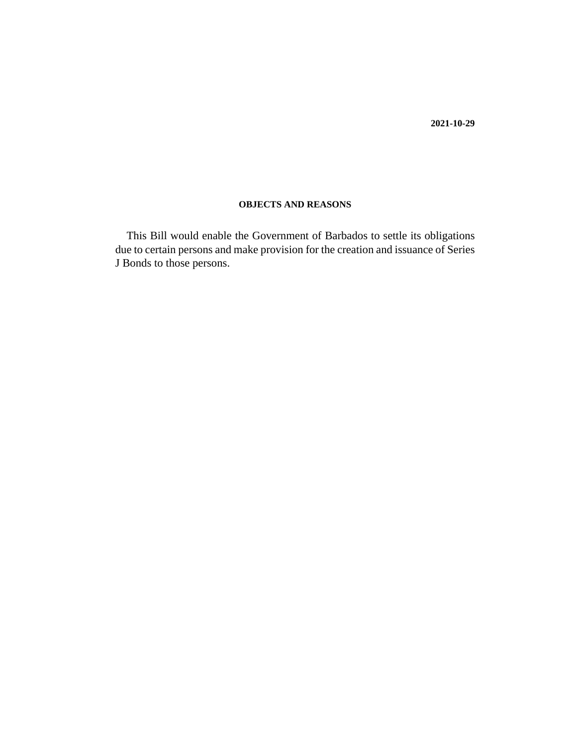**2021-10-29**

# **OBJECTS AND REASONS**

This Bill would enable the Government of Barbados to settle its obligations due to certain persons and make provision for the creation and issuance of Series J Bonds to those persons.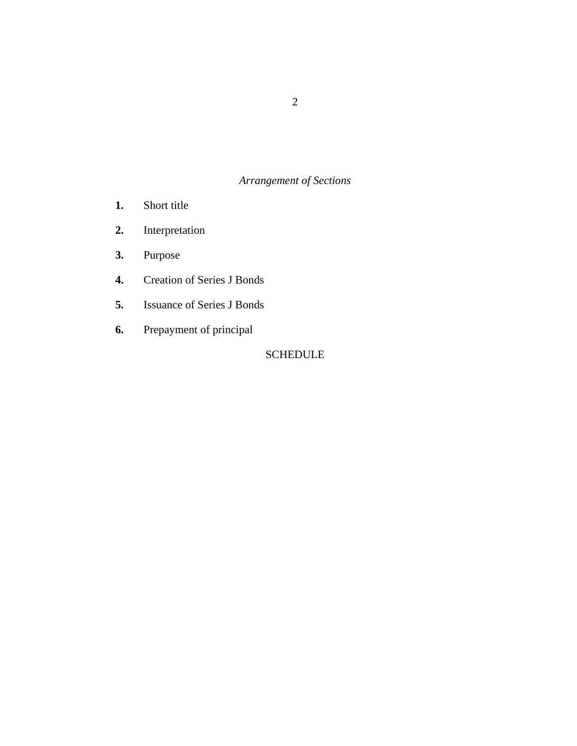# *Arrangement of Sections*

- [Short title](#page-3-0) **1.**
- [Interpretation](#page-3-0) **2.**
- [Purpose](#page-3-0) **3.**
- [Creation of Series J Bonds](#page-3-0) **4.**
- [Issuance of Series J Bonds](#page-4-0) **5.**
- [Prepayment of principal](#page-4-0) **6.**

# SCHEDULE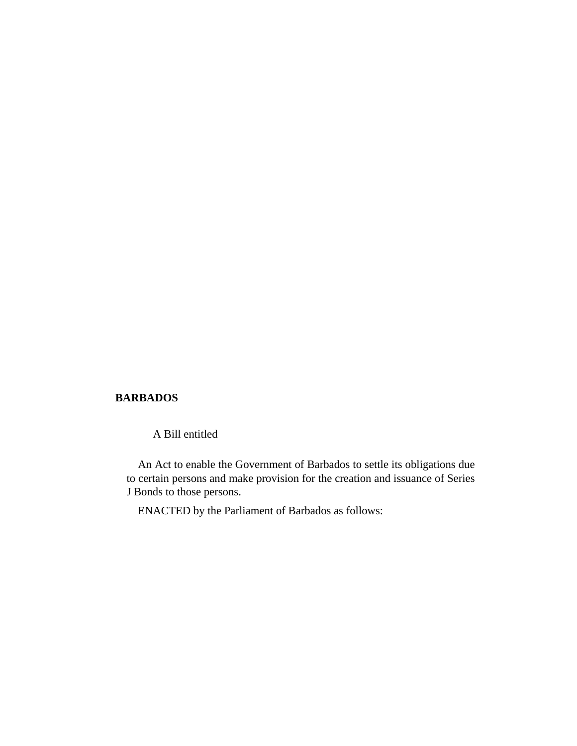# **BARBADOS**

A Bill entitled

An Act to enable the Government of Barbados to settle its obligations due to certain persons and make provision for the creation and issuance of Series J Bonds to those persons.

ENACTED by the Parliament of Barbados as follows: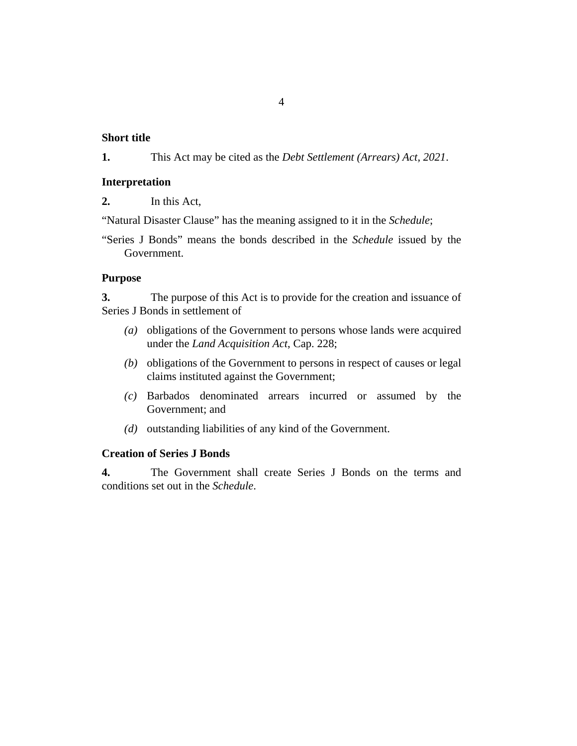# 4

### <span id="page-3-0"></span>**Short title**

This Act may be cited as the *Debt Settlement (Arrears) Act, 2021*. **1.**

# **Interpretation**

In this Act, **2.**

"Natural Disaster Clause" has the meaning assigned to it in the *Schedule*;

"Series J Bonds" means the bonds described in the *Schedule* issued by the Government.

## **Purpose**

The purpose of this Act is to provide for the creation and issuance of Series J Bonds in settlement of **3.**

- obligations of the Government to persons whose lands were acquired *(a)* under the *[Land Acquisition Act](http://barbadosparliament-laws.com/en/showdoc/cs/228)*, Cap. 228;
- (b) obligations of the Government to persons in respect of causes or legal claims instituted against the Government;
- Barbados denominated arrears incurred or assumed by the *(c)* Government; and
- (d) outstanding liabilities of any kind of the Government.

# **Creation of Series J Bonds**

The Government shall create Series J Bonds on the terms and conditions set out in the *Schedule*. **4.**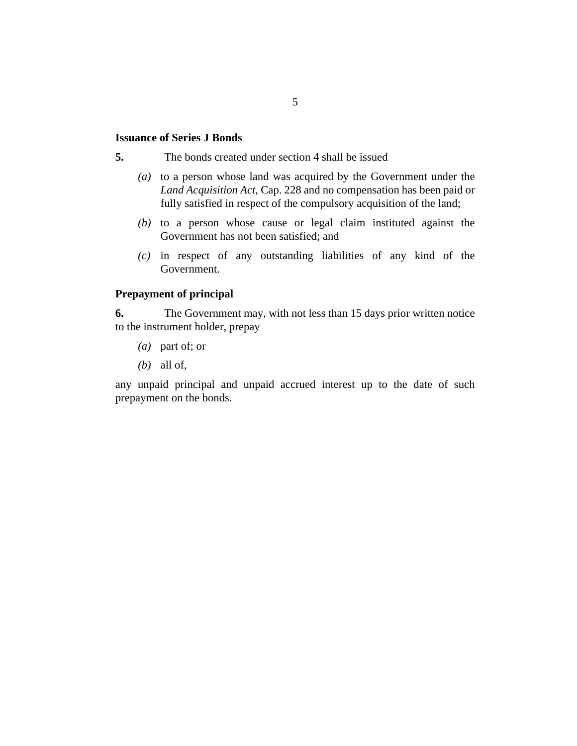# 5

### <span id="page-4-0"></span>**Issuance of Series J Bonds**

The bonds created under section 4 shall be issued **5.**

- (a) to a person whose land was acquired by the Government under the *[Land Acquisition Act](http://barbadosparliament-laws.com/en/showdoc/cs/228)*, Cap. 228 and no compensation has been paid or fully satisfied in respect of the compulsory acquisition of the land;
- $(b)$  to a person whose cause or legal claim instituted against the Government has not been satisfied; and
- $(c)$  in respect of any outstanding liabilities of any kind of the Government.

# **Prepayment of principal**

The Government may, with not less than 15 days prior written notice to the instrument holder, prepay **6.**

- part of; or *(a)*
- all of, *(b)*

any unpaid principal and unpaid accrued interest up to the date of such prepayment on the bonds.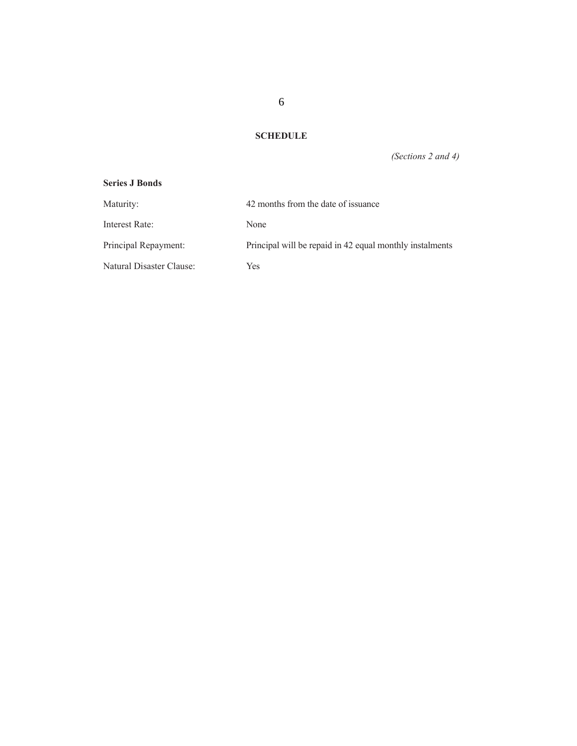**SCHEDULE**

*(Sections 2 and 4)*

## **Series J Bonds**

| Maturity:                | 42 months from the date of issuance                      |
|--------------------------|----------------------------------------------------------|
| Interest Rate:           | None                                                     |
| Principal Repayment:     | Principal will be repaid in 42 equal monthly instalments |
| Natural Disaster Clause: | Yes                                                      |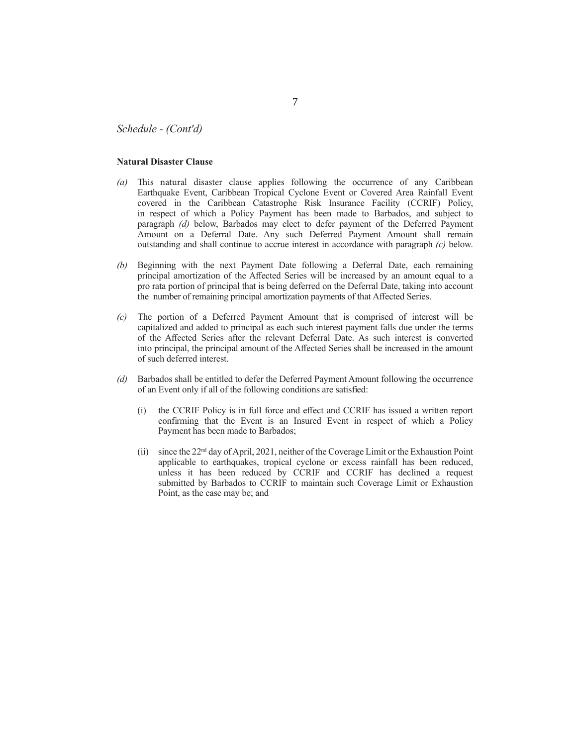*Schedule - (Cont'd)*

#### **Natural Disaster Clause**

- (a) This natural disaster clause applies following the occurrence of any Caribbean Earthquake Event, Caribbean Tropical Cyclone Event or Covered Area Rainfall Event covered in the Caribbean Catastrophe Risk Insurance Facility (CCRIF) Policy, in respect of which a Policy Payment has been made to Barbados, and subject to paragraph *(d)* below, Barbados may elect to defer payment of the Deferred Payment Amount on a Deferral Date. Any such Deferred Payment Amount shall remain outstanding and shall continue to accrue interest in accordance with paragraph *(c)* below.
- *(b)* Beginning with the next Payment Date following a Deferral Date, each remaining principal amortization of the Affected Series will be increased by an amount equal to a pro rata portion of principal that is being deferred on the Deferral Date, taking into account the number of remaining principal amortization payments of that Affected Series.
- *(c)* The portion of a Deferred Payment Amount that is comprised of interest will be capitalized and added to principal as each such interest payment falls due under the terms of the Aff ected Series after the relevant Deferral Date. As such interest is converted into principal, the principal amount of the Affected Series shall be increased in the amount of such deferred interest.
- *(d)* Barbados shall be entitled to defer the Deferred Payment Amount following the occurrence of an Event only if all of the following conditions are satisfied:
	- (i) the CCRIF Policy is in full force and effect and CCRIF has issued a written report confirming that the Event is an Insured Event in respect of which a Policy Payment has been made to Barbados;
	- (ii) since the 22nd day of April, 2021, neither of the Coverage Limit or the Exhaustion Point applicable to earthquakes, tropical cyclone or excess rainfall has been reduced, unless it has been reduced by CCRIF and CCRIF has declined a request submitted by Barbados to CCRIF to maintain such Coverage Limit or Exhaustion Point, as the case may be; and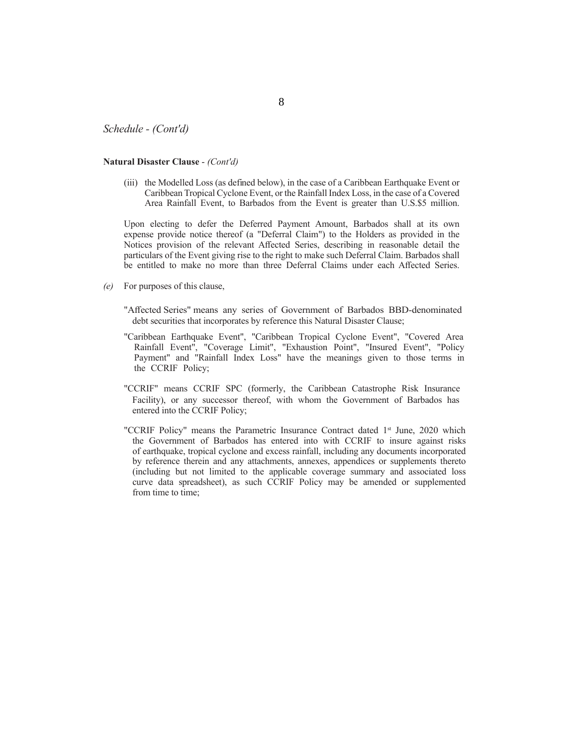#### *Schedule - (Cont'd)*

#### **Natural Disaster Clause** - *(Cont'd)*

(iii) the Modelled Loss (as defi ned below), in the case of a Caribbean Earthquake Event or Caribbean Tropical Cyclone Event, or the Rainfall Index Loss, in the case of a Covered Area Rainfall Event, to Barbados from the Event is greater than U.S.\$5 million.

Upon electing to defer the Deferred Payment Amount, Barbados shall at its own expense provide notice thereof (a "Deferral Claim") to the Holders as provided in the Notices provision of the relevant Affected Series, describing in reasonable detail the particulars of the Event giving rise to the right to make such Deferral Claim. Barbados shall be entitled to make no more than three Deferral Claims under each Affected Series.

- *(e)* For purposes of this clause,
	- "Affected Series" means any series of Government of Barbados BBD-denominated debt securities that incorporates by reference this Natural Disaster Clause;
	- "Caribbean Earthquake Event", "Caribbean Tropical Cyclone Event", "Covered Area Rainfall Event", "Coverage Limit", "Exhaustion Point", "Insured Event", "Policy Payment" and "Rainfall Index Loss" have the meanings given to those terms in the CCRIF Policy;
	- "CCRIF" means CCRIF SPC (formerly, the Caribbean Catastrophe Risk Insurance Facility), or any successor thereof, with whom the Government of Barbados has entered into the CCRIF Policy;
	- "CCRIF Policy" means the Parametric Insurance Contract dated 1<sup>st</sup> June, 2020 which the Government of Barbados has entered into with CCRIF to insure against risks of earthquake, tropical cyclone and excess rainfall, including any documents incorporated by reference therein and any attachments, annexes, appendices or supplements thereto (including but not limited to the applicable coverage summary and associated loss curve data spreadsheet), as such CCRIF Policy may be amended or supplemented from time to time;